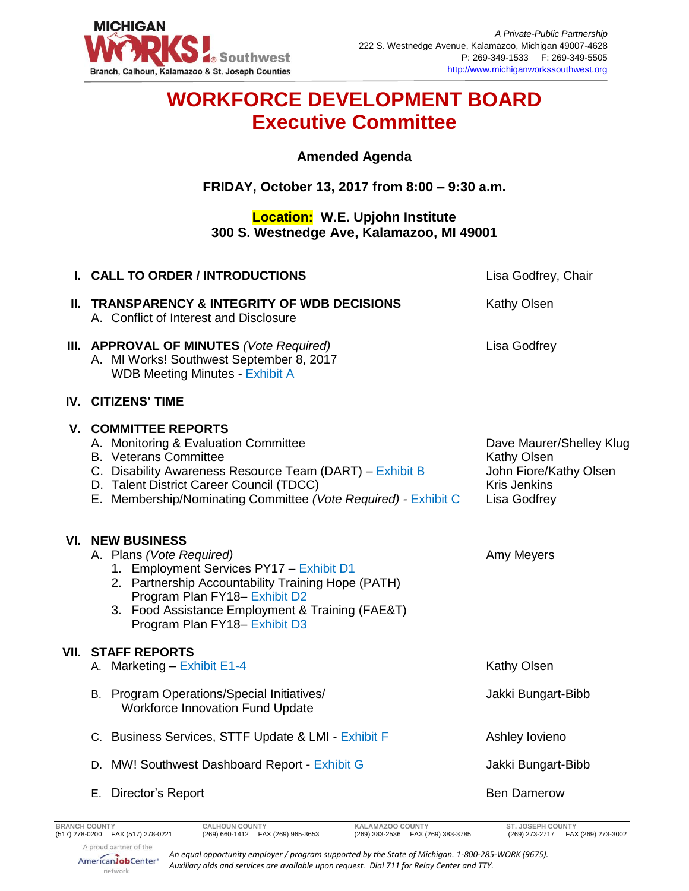

# **WORKFORCE DEVELOPMENT BOARD Executive Committee**

#### **Amended Agenda**

## **FRIDAY, October 13, 2017 from 8:00 – 9:30 a.m.**

## **Location: W.E. Upjohn Institute 300 S. Westnedge Ave, Kalamazoo, MI 49001**

|     | I. CALL TO ORDER / INTRODUCTIONS                                                                                                                                                                                                                                              | Lisa Godfrey, Chair                                                                                      |
|-----|-------------------------------------------------------------------------------------------------------------------------------------------------------------------------------------------------------------------------------------------------------------------------------|----------------------------------------------------------------------------------------------------------|
|     | II. TRANSPARENCY & INTEGRITY OF WDB DECISIONS<br>A. Conflict of Interest and Disclosure                                                                                                                                                                                       | <b>Kathy Olsen</b>                                                                                       |
|     | III. APPROVAL OF MINUTES (Vote Required)<br>A. MI Works! Southwest September 8, 2017<br><b>WDB Meeting Minutes - Exhibit A</b>                                                                                                                                                | Lisa Godfrey                                                                                             |
|     | IV. CITIZENS' TIME                                                                                                                                                                                                                                                            |                                                                                                          |
|     | <b>V. COMMITTEE REPORTS</b><br>A. Monitoring & Evaluation Committee<br><b>B.</b> Veterans Committee<br>C. Disability Awareness Resource Team (DART) - Exhibit B<br>D. Talent District Career Council (TDCC)<br>E. Membership/Nominating Committee (Vote Required) - Exhibit C | Dave Maurer/Shelley Klug<br>Kathy Olsen<br>John Fiore/Kathy Olsen<br><b>Kris Jenkins</b><br>Lisa Godfrey |
| VI. | <b>NEW BUSINESS</b><br>A. Plans (Vote Required)<br>1. Employment Services PY17 - Exhibit D1<br>2. Partnership Accountability Training Hope (PATH)<br>Program Plan FY18- Exhibit D2<br>3. Food Assistance Employment & Training (FAE&T)<br>Program Plan FY18- Exhibit D3       | Amy Meyers                                                                                               |
|     | <b>VII. STAFF REPORTS</b><br>A. Marketing - Exhibit E1-4                                                                                                                                                                                                                      | Kathy Olsen                                                                                              |
|     | B. Program Operations/Special Initiatives/<br><b>Workforce Innovation Fund Update</b>                                                                                                                                                                                         | Jakki Bungart-Bibb                                                                                       |
|     | C. Business Services, STTF Update & LMI - Exhibit F                                                                                                                                                                                                                           | Ashley lovieno                                                                                           |
|     | D. MW! Southwest Dashboard Report - Exhibit G                                                                                                                                                                                                                                 | Jakki Bungart-Bibb                                                                                       |
|     | E. Director's Report                                                                                                                                                                                                                                                          | <b>Ben Damerow</b>                                                                                       |

*An equal opportunity employer / program supported by the State of Michigan. 1-800-285-WORK (9675). Auxiliary aids and services are available upon request. Dial 711 for Relay Center and TTY.*